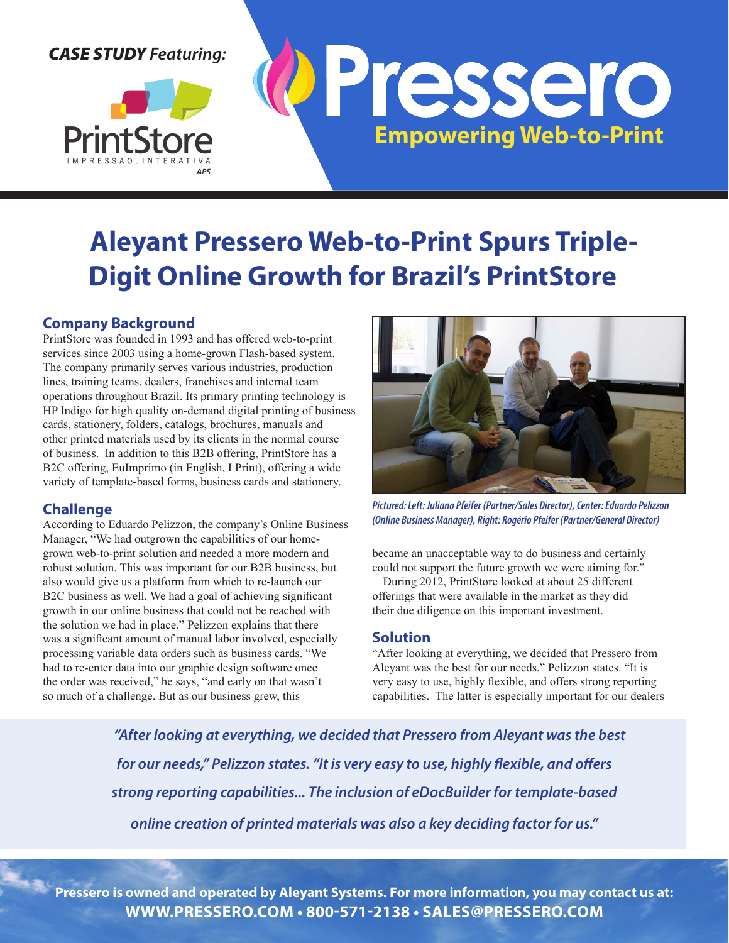# *CASE STUDY Featuring:*





# **Aleyant Pressero Web-to-Print Spurs Triple-Digit Online Growth for Brazil's PrintStore**

## **Company Background**

PrintStore was founded in 1993 and has offered web-to-print services since 2003 using a home-grown Flash-based system. The company primarily serves various industries, production lines, training teams, dealers, franchises and internal team operations throughout Brazil. Its primary printing technology is HP Indigo for high quality on-demand digital printing of business cards, stationery, folders, catalogs, brochures, manuals and other printed materials used by its clients in the normal course of business. In addition to this B2B offering, PrintStore has a B2C offering, EuImprimo (in English, I Print), offering a wide variety of template-based forms, business cards and stationery.

### **Challenge**

According to Eduardo Pelizzon, the company's Online Business Manager, "We had outgrown the capabilities of our homegrown web-to-print solution and needed a more modern and robust solution. This was important for our B2B business, but also would give us a platform from which to re-launch our B2C business as well. We had a goal of achieving significant growth in our online business that could not be reached with the solution we had in place." Pelizzon explains that there was a significant amount of manual labor involved, especially processing variable data orders such as business cards. "We had to re-enter data into our graphic design software once the order was received," he says, "and early on that wasn't so much of a challenge. But as our business grew, this



*Pictured: Left: Juliano Pfeifer (Partner/Sales Director), Center: Eduardo Pelizzon (Online Business Manager), Right: Rogério Pfeifer (Partner/General Director)*

became an unacceptable way to do business and certainly could not support the future growth we were aiming for."

During 2012, PrintStore looked at about 25 different offerings that were available in the market as they did their due diligence on this important investment.

#### **Solution**

"After looking at everything, we decided that Pressero from Aleyant was the best for our needs," Pelizzon states. "It is very easy to use, highly flexible, and offers strong reporting capabilities. The latter is especially important for our dealers

*"After looking at everything, we decided that Pressero from Aleyant was the best for our needs," Pelizzon states. "It is very easy to use, highly flexible, and offers strong reporting capabilities... The inclusion of eDocBuilder for template-based online creation of printed materials was also a key deciding factor for us."*

**Pressero is owned and operated by Aleyant Systems. For more information, you may contact us at: WWW.PRESSERO.COM • 800-571-2138 • SALES@PRESSERO.COM**